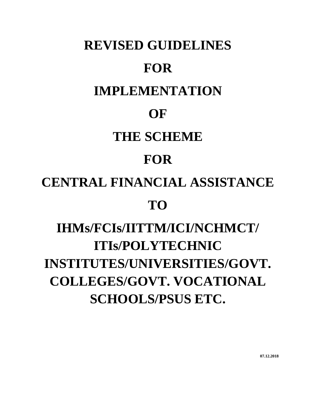# **REVISED GUIDELINES FOR IMPLEMENTATION OF THE SCHEME FOR CENTRAL FINANCIAL ASSISTANCE TO IHMs/FCIs/IITTM/ICI/NCHMCT/ ITIs/POLYTECHNIC INSTITUTES/UNIVERSITIES/GOVT. COLLEGES/GOVT. VOCATIONAL**

**SCHOOLS/PSUS ETC.**

**07.12.2018**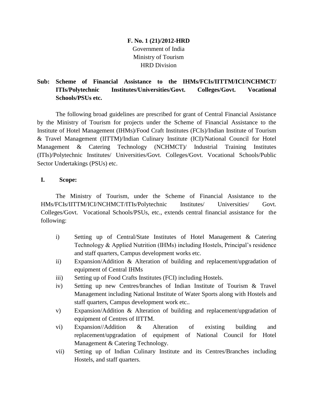# **F. No. 1 (21)/2012-HRD** Government of India Ministry of Tourism HRD Division

# **Sub: Scheme of Financial Assistance to the IHMs/FCIs/IITTM/ICI/NCHMCT/ ITIs/Polytechnic Institutes/Universities/Govt. Colleges/Govt. Vocational Schools/PSUs etc.**

The following broad guidelines are prescribed for grant of Central Financial Assistance by the Ministry of Tourism for projects under the Scheme of Financial Assistance to the Institute of Hotel Management (IHMs)/Food Craft Institutes (FCIs)/Indian Institute of Tourism & Travel Management (IITTM)/Indian Culinary Institute (ICI)/National Council for Hotel Management & Catering Technology (NCHMCT)/ Industrial Training Institutes (ITIs)/Polytechnic Institutes/ Universities/Govt. Colleges/Govt. Vocational Schools/Public Sector Undertakings (PSUs) etc.

## **I. Scope:**

The Ministry of Tourism, under the Scheme of Financial Assistance to the HMs/FCIs/IITTM/ICI/NCHMCT/ITIs/Polytechnic Institutes/ Universities/ Govt. Colleges/Govt. Vocational Schools/PSUs, etc., extends central financial assistance for the following:

- i) Setting up of Central/State Institutes of Hotel Management & Catering Technology & Applied Nutrition (IHMs) including Hostels, Principal's residence and staff quarters, Campus development works etc.
- ii) Expansion/Addition & Alteration of building and replacement/upgradation of equipment of Central IHMs
- iii) Setting up of Food Crafts Institutes (FCI) including Hostels.
- iv) Setting up new Centres/branches of Indian Institute of Tourism & Travel Management including National Institute of Water Sports along with Hostels and staff quarters, Campus development work etc..
- v) Expansion/Addition & Alteration of building and replacement/upgradation of equipment of Centres of IITTM.
- vi) Expansion//Addition & Alteration of existing building and replacement/upgradation of equipment of National Council for Hotel Management & Catering Technology.
- vii) Setting up of Indian Culinary Institute and its Centres/Branches including Hostels, and staff quarters.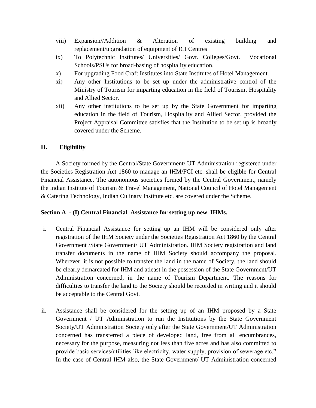- viii) Expansion//Addition & Alteration of existing building and replacement/upgradation of equipment of ICI Centres
- ix) To Polytechnic Institutes/ Universities/ Govt. Colleges/Govt. Vocational Schools/PSUs for broad-basing of hospitality education.
- x) For upgrading Food Craft Institutes into State Institutes of Hotel Management.
- xi) Any other Institutions to be set up under the administrative control of the Ministry of Tourism for imparting education in the field of Tourism, Hospitality and Allied Sector.
- xii) Any other institutions to be set up by the State Government for imparting education in the field of Tourism, Hospitality and Allied Sector, provided the Project Appraisal Committee satisfies that the Institution to be set up is broadly covered under the Scheme.

## **II. Eligibility**

A Society formed by the Central/State Government/ UT Administration registered under the Societies Registration Act 1860 to manage an IHM/FCI etc. shall be eligible for Central Financial Assistance. The autonomous societies formed by the Central Government, namely the Indian Institute of Tourism & Travel Management, National Council of Hotel Management & Catering Technology, Indian Culinary Institute etc. are covered under the Scheme.

## **Section A - (I) Central Financial Assistance for setting up new IHMs.**

- i. Central Financial Assistance for setting up an IHM will be considered only after registration of the IHM Society under the Societies Registration Act 1860 by the Central Government /State Government/ UT Administration. IHM Society registration and land transfer documents in the name of IHM Society should accompany the proposal. Wherever, it is not possible to transfer the land in the name of Society, the land should be clearly demarcated for IHM and atleast in the possession of the State Government/UT Administration concerned, in the name of Tourism Department. The reasons for difficulties to transfer the land to the Society should be recorded in writing and it should be acceptable to the Central Govt.
- ii. Assistance shall be considered for the setting up of an IHM proposed by a State Government / UT Administration to run the Institutions by the State Government Society/UT Administration Society only after the State Government/UT Administration concerned has transferred a piece of developed land, free from all encumbrances, necessary for the purpose, measuring not less than five acres and has also committed to provide basic services/utilities like electricity, water supply, provision of sewerage etc." In the case of Central IHM also, the State Government/ UT Administration concerned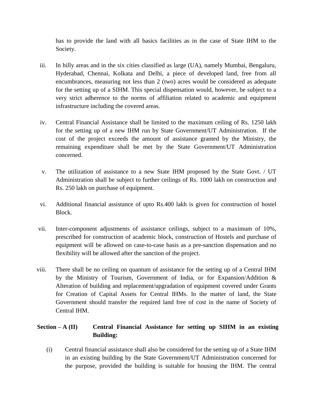has to provide the land with all basics facilities as in the case of State IHM to the Society.

- iii. In hilly areas and in the six cities classified as large (UA), namely Mumbai, Bengaluru, Hyderabad, Chennai, Kolkata and Delhi, a piece of developed land, free from all encumbrances, measuring not less than 2 (two) acres would be considered as adequate for the setting up of a SIHM. This special dispensation would, however, be subject to a very strict adherence to the norms of affiliation related to academic and equipment infrastructure including the covered areas.
- iv. Central Financial Assistance shall be limited to the maximum ceiling of Rs. 1250 lakh for the setting up of a new IHM run by State Government/UT Administration. If the cost of the project exceeds the amount of assistance granted by the Ministry, the remaining expenditure shall be met by the State Government/UT Administration concerned.
- v. The utilization of assistance to a new State IHM proposed by the State Govt. / UT Administration shall be subject to further ceilings of Rs. 1000 lakh on construction and Rs. 250 lakh on purchase of equipment.
- vi. Additional financial assistance of upto Rs.400 lakh is given for construction of hostel Block.
- vii. Inter-component adjustments of assistance ceilings, subject to a maximum of 10%, prescribed for construction of academic block, construction of Hostels and purchase of equipment will be allowed on case-to-case basis as a pre-sanction dispensation and no flexibility will be allowed after the sanction of the project.
- viii. There shall be no ceiling on quantum of assistance for the setting up of a Central IHM by the Ministry of Tourism, Government of India, or for Expansion/Addition & Alteration of building and replacement/upgradation of equipment covered under Grants for Creation of Capital Assets for Central IHMs. In the matter of land, the State Government should transfer the required land free of cost in the name of Society of Central IHM.

# **Section – A (II) Central Financial Assistance for setting up SIHM in an existing Building:**

(i) Central financial assistance shall also be considered for the setting up of a State IHM in an existing building by the State Government/UT Administration concerned for the purpose, provided the building is suitable for housing the IHM. The central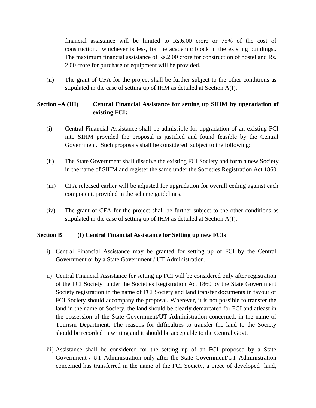financial assistance will be limited to Rs.6.00 crore or 75% of the cost of construction, whichever is less, for the academic block in the existing buildings,. The maximum financial assistance of Rs.2.00 crore for construction of hostel and Rs. 2.00 crore for purchase of equipment will be provided.

(ii) The grant of CFA for the project shall be further subject to the other conditions as stipulated in the case of setting up of IHM as detailed at Section A(I).

## **Section –A (III) Central Financial Assistance for setting up SIHM by upgradation of existing FCI:**

- (i) Central Financial Assistance shall be admissible for upgradation of an existing FCI into SIHM provided the proposal is justified and found feasible by the Central Government. Such proposals shall be considered subject to the following:
- (ii) The State Government shall dissolve the existing FCI Society and form a new Society in the name of SIHM and register the same under the Societies Registration Act 1860.
- (iii) CFA released earlier will be adjusted for upgradation for overall ceiling against each component, provided in the scheme guidelines.
- (iv) The grant of CFA for the project shall be further subject to the other conditions as stipulated in the case of setting up of IHM as detailed at Section A(I).

## **Section B (I) Central Financial Assistance for Setting up new FCIs**

- i) Central Financial Assistance may be granted for setting up of FCI by the Central Government or by a State Government / UT Administration.
- ii) Central Financial Assistance for setting up FCI will be considered only after registration of the FCI Society under the Societies Registration Act 1860 by the State Government Society registration in the name of FCI Society and land transfer documents in favour of FCI Society should accompany the proposal. Wherever, it is not possible to transfer the land in the name of Society, the land should be clearly demarcated for FCI and atleast in the possession of the State Government/UT Administration concerned, in the name of Tourism Department. The reasons for difficulties to transfer the land to the Society should be recorded in writing and it should be acceptable to the Central Govt.
- iii) Assistance shall be considered for the setting up of an FCI proposed by a State Government / UT Administration only after the State Government/UT Administration concerned has transferred in the name of the FCI Society, a piece of developed land,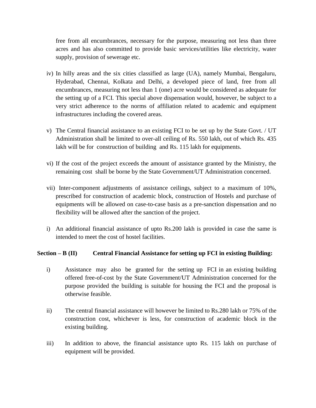free from all encumbrances, necessary for the purpose, measuring not less than three acres and has also committed to provide basic services/utilities like electricity, water supply, provision of sewerage etc.

- iv) In hilly areas and the six cities classified as large (UA), namely Mumbai, Bengaluru, Hyderabad, Chennai, Kolkata and Delhi, a developed piece of land, free from all encumbrances, measuring not less than 1 (one) acre would be considered as adequate for the setting up of a FCI. This special above dispensation would, however, be subject to a very strict adherence to the norms of affiliation related to academic and equipment infrastructures including the covered areas.
- v) The Central financial assistance to an existing FCI to be set up by the State Govt. / UT Administration shall be limited to over-all ceiling of Rs. 550 lakh, out of which Rs. 435 lakh will be for construction of building and Rs. 115 lakh for equipments.
- vi) If the cost of the project exceeds the amount of assistance granted by the Ministry, the remaining cost shall be borne by the State Government/UT Administration concerned.
- vii) Inter-component adjustments of assistance ceilings, subject to a maximum of 10%, prescribed for construction of academic block, construction of Hostels and purchase of equipments will be allowed on case-to-case basis as a pre-sanction dispensation and no flexibility will be allowed after the sanction of the project.
- i) An additional financial assistance of upto Rs.200 lakh is provided in case the same is intended to meet the cost of hostel facilities.

## **Section – B (II) Central Financial Assistance for setting up FCI in existing Building:**

- i) Assistance may also be granted for the setting up FCI in an existing building offered free-of-cost by the State Government/UT Administration concerned for the purpose provided the building is suitable for housing the FCI and the proposal is otherwise feasible.
- ii) The central financial assistance will however be limited to Rs.280 lakh or 75% of the construction cost, whichever is less, for construction of academic block in the existing building.
- iii) In addition to above, the financial assistance upto Rs. 115 lakh on purchase of equipment will be provided.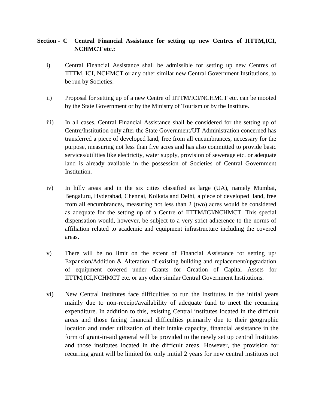## **Section - C Central Financial Assistance for setting up new Centres of IITTM,ICI, NCHMCT etc.:**

- i) Central Financial Assistance shall be admissible for setting up new Centres of IITTM, ICI, NCHMCT or any other similar new Central Government Institutions, to be run by Societies.
- ii) Proposal for setting up of a new Centre of IITTM/ICI/NCHMCT etc. can be mooted by the State Government or by the Ministry of Tourism or by the Institute.
- iii) In all cases, Central Financial Assistance shall be considered for the setting up of Centre/Institution only after the State Government/UT Administration concerned has transferred a piece of developed land, free from all encumbrances, necessary for the purpose, measuring not less than five acres and has also committed to provide basic services/utilities like electricity, water supply, provision of sewerage etc. or adequate land is already available in the possession of Societies of Central Government Institution.
- iv) In hilly areas and in the six cities classified as large (UA), namely Mumbai, Bengaluru, Hyderabad, Chennai, Kolkata and Delhi, a piece of developed land, free from all encumbrances, measuring not less than 2 (two) acres would be considered as adequate for the setting up of a Centre of IITTM/ICI/NCHMCT. This special dispensation would, however, be subject to a very strict adherence to the norms of affiliation related to academic and equipment infrastructure including the covered areas.
- v) There will be no limit on the extent of Financial Assistance for setting up/ Expansion/Addition & Alteration of existing building and replacement/upgradation of equipment covered under Grants for Creation of Capital Assets for IITTM,ICI,NCHMCT etc. or any other similar Central Government Institutions.
- vi) New Central Institutes face difficulties to run the Institutes in the initial years mainly due to non-receipt/availability of adequate fund to meet the recurring expenditure. In addition to this, existing Central institutes located in the difficult areas and those facing financial difficulties primarily due to their geographic location and under utilization of their intake capacity, financial assistance in the form of grant-in-aid general will be provided to the newly set up central Institutes and those institutes located in the difficult areas. However, the provision for recurring grant will be limited for only initial 2 years for new central institutes not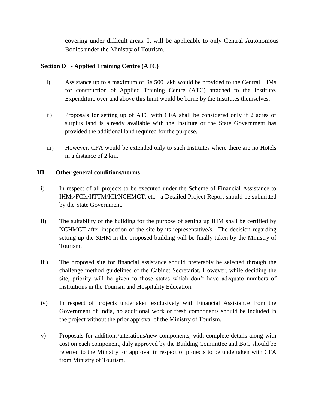covering under difficult areas. It will be applicable to only Central Autonomous Bodies under the Ministry of Tourism.

## **Section D - Applied Training Centre (ATC)**

- i) Assistance up to a maximum of Rs 500 lakh would be provided to the Central IHMs for construction of Applied Training Centre (ATC) attached to the Institute. Expenditure over and above this limit would be borne by the Institutes themselves.
- ii) Proposals for setting up of ATC with CFA shall be considered only if 2 acres of surplus land is already available with the Institute or the State Government has provided the additional land required for the purpose.
- iii) However, CFA would be extended only to such Institutes where there are no Hotels in a distance of 2 km.

## **III. Other general conditions/norms**

- i) In respect of all projects to be executed under the Scheme of Financial Assistance to IHMs/FCIs/IITTM/ICI/NCHMCT, etc. a Detailed Project Report should be submitted by the State Government.
- ii) The suitability of the building for the purpose of setting up IHM shall be certified by NCHMCT after inspection of the site by its representative/s. The decision regarding setting up the SIHM in the proposed building will be finally taken by the Ministry of Tourism.
- iii) The proposed site for financial assistance should preferably be selected through the challenge method guidelines of the Cabinet Secretariat. However, while deciding the site, priority will be given to those states which don't have adequate numbers of institutions in the Tourism and Hospitality Education.
- iv) In respect of projects undertaken exclusively with Financial Assistance from the Government of India, no additional work or fresh components should be included in the project without the prior approval of the Ministry of Tourism.
- v) Proposals for additions/alterations/new components, with complete details along with cost on each component, duly approved by the Building Committee and BoG should be referred to the Ministry for approval in respect of projects to be undertaken with CFA from Ministry of Tourism.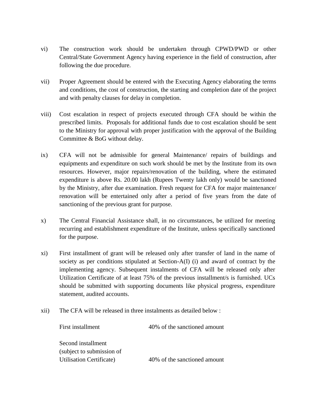- vi) The construction work should be undertaken through CPWD/PWD or other Central/State Government Agency having experience in the field of construction, after following the due procedure.
- vii) Proper Agreement should be entered with the Executing Agency elaborating the terms and conditions, the cost of construction, the starting and completion date of the project and with penalty clauses for delay in completion.
- viii) Cost escalation in respect of projects executed through CFA should be within the prescribed limits. Proposals for additional funds due to cost escalation should be sent to the Ministry for approval with proper justification with the approval of the Building Committee & BoG without delay.
- ix) CFA will not be admissible for general Maintenance/ repairs of buildings and equipments and expenditure on such work should be met by the Institute from its own resources. However, major repairs/renovation of the building, where the estimated expenditure is above Rs. 20.00 lakh (Rupees Twenty lakh only) would be sanctioned by the Ministry, after due examination. Fresh request for CFA for major maintenance/ renovation will be entertained only after a period of five years from the date of sanctioning of the previous grant for purpose.
- x) The Central Financial Assistance shall, in no circumstances, be utilized for meeting recurring and establishment expenditure of the Institute, unless specifically sanctioned for the purpose.
- xi) First installment of grant will be released only after transfer of land in the name of society as per conditions stipulated at Section-A(I) (i) and award of contract by the implementing agency. Subsequent instalments of CFA will be released only after Utilization Certificate of at least 75% of the previous installment/s is furnished. UCs should be submitted with supporting documents like physical progress, expenditure statement, audited accounts.
- xii) The CFA will be released in three instalments as detailed below :

| First installment                | 40% of the sanctioned amount |
|----------------------------------|------------------------------|
|                                  |                              |
| Second installment               |                              |
| (subject to submission of        |                              |
| <b>Utilisation Certificate</b> ) | 40% of the sanctioned amount |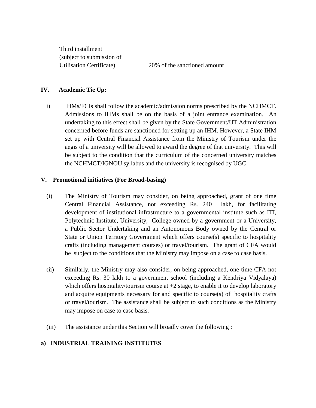Third installment (subject to submission of

Utilisation Certificate) 20% of the sanctioned amount

#### **IV. Academic Tie Up:**

i) IHMs/FCIs shall follow the academic/admission norms prescribed by the NCHMCT. Admissions to IHMs shall be on the basis of a joint entrance examination. An undertaking to this effect shall be given by the State Government/UT Administration concerned before funds are sanctioned for setting up an IHM. However, a State IHM set up with Central Financial Assistance from the Ministry of Tourism under the aegis of a university will be allowed to award the degree of that university. This will be subject to the condition that the curriculum of the concerned university matches the NCHMCT/IGNOU syllabus and the university is recognised by UGC.

#### **V. Promotional initiatives (For Broad-basing)**

- (i) The Ministry of Tourism may consider, on being approached, grant of one time Central Financial Assistance, not exceeding Rs. 240 lakh, for facilitating development of institutional infrastructure to a governmental institute such as ITI, Polytechnic Institute, University, College owned by a government or a University, a Public Sector Undertaking and an Autonomous Body owned by the Central or State or Union Territory Government which offers course(s) specific to hospitality crafts (including management courses) or travel/tourism. The grant of CFA would be subject to the conditions that the Ministry may impose on a case to case basis.
- (ii) Similarly, the Ministry may also consider, on being approached, one time CFA not exceeding Rs. 30 lakh to a government school (including a Kendriya Vidyalaya) which offers hospitality/tourism course at  $+2$  stage, to enable it to develop laboratory and acquire equipments necessary for and specific to course(s) of hospitality crafts or travel/tourism. The assistance shall be subject to such conditions as the Ministry may impose on case to case basis.
- (iii) The assistance under this Section will broadly cover the following :

## **a) INDUSTRIAL TRAINING INSTITUTES**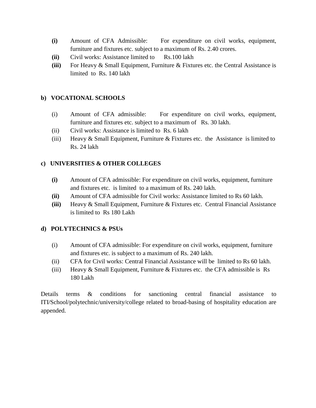- **(i)** Amount of CFA Admissible: For expenditure on civil works, equipment, furniture and fixtures etc. subject to a maximum of Rs. 2.40 crores.
- **(ii)** Civil works: Assistance limited to Rs.100 lakh
- **(iii)** For Heavy & Small Equipment, Furniture & Fixtures etc. the Central Assistance is limited to Rs. 140 lakh

## **b) VOCATIONAL SCHOOLS**

- (i) Amount of CFA admissible: For expenditure on civil works, equipment, furniture and fixtures etc. subject to a maximum of Rs. 30 lakh.
- (ii) Civil works: Assistance is limited to Rs. 6 lakh
- (iii) Heavy & Small Equipment, Furniture & Fixtures etc. the Assistance is limited to Rs. 24 lakh

## **c) UNIVERSITIES & OTHER COLLEGES**

- **(i)** Amount of CFA admissible: For expenditure on civil works, equipment, furniture and fixtures etc. is limited to a maximum of Rs. 240 lakh.
- **(ii)** Amount of CFA admissible for Civil works: Assistance limited to Rs 60 lakh.
- **(iii)** Heavy & Small Equipment, Furniture & Fixtures etc. Central Financial Assistance is limited to Rs 180 Lakh

## **d) POLYTECHNICS & PSUs**

- (i) Amount of CFA admissible: For expenditure on civil works, equipment, furniture and fixtures etc. is subject to a maximum of Rs. 240 lakh.
- (ii) CFA for Civil works: Central Financial Assistance will be limited to Rs 60 lakh.
- (iii) Heavy  $&$  Small Equipment, Furniture  $&$  Fixtures etc. the CFA admissible is Rs 180 Lakh

Details terms & conditions for sanctioning central financial assistance to ITI/School/polytechnic/university/college related to broad-basing of hospitality education are appended.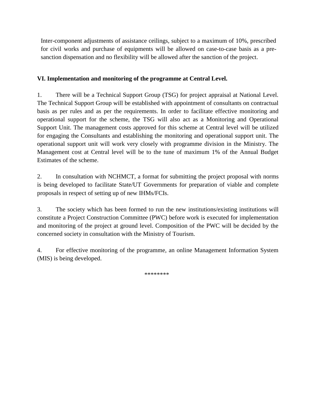Inter-component adjustments of assistance ceilings, subject to a maximum of 10%, prescribed for civil works and purchase of equipments will be allowed on case-to-case basis as a presanction dispensation and no flexibility will be allowed after the sanction of the project.

## **VI. Implementation and monitoring of the programme at Central Level.**

1. There will be a Technical Support Group (TSG) for project appraisal at National Level. The Technical Support Group will be established with appointment of consultants on contractual basis as per rules and as per the requirements. In order to facilitate effective monitoring and operational support for the scheme, the TSG will also act as a Monitoring and Operational Support Unit. The management costs approved for this scheme at Central level will be utilized for engaging the Consultants and establishing the monitoring and operational support unit. The operational support unit will work very closely with programme division in the Ministry. The Management cost at Central level will be to the tune of maximum 1% of the Annual Budget Estimates of the scheme.

2. In consultation with NCHMCT, a format for submitting the project proposal with norms is being developed to facilitate State/UT Governments for preparation of viable and complete proposals in respect of setting up of new IHMs/FCIs.

3. The society which has been formed to run the new institutions/existing institutions will constitute a Project Construction Committee (PWC) before work is executed for implementation and monitoring of the project at ground level. Composition of the PWC will be decided by the concerned society in consultation with the Ministry of Tourism.

4. For effective monitoring of the programme, an online Management Information System (MIS) is being developed.

\*\*\*\*\*\*\*\*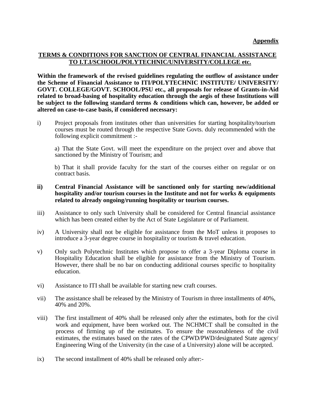#### **TERMS & CONDITIONS FOR SANCTION OF CENTRAL FINANCIAL ASSISTANCE TO I.T.I/SCHOOL/POLYTECHNIC/UNIVERSITY/COLLEGE etc.**

**Within the framework of the revised guidelines regulating the outflow of assistance under the Scheme of Financial Assistance to ITI/POLYTECHNIC INSTITUTE/ UNIVERSITY/ GOVT. COLLEGE/GOVT. SCHOOL/PSU etc., all proposals for release of Grants-in-Aid related to broad-basing of hospitality education through the aegis of these Institutions will be subject to the following standard terms & conditions which can, however, be added or altered on case-to-case basis, if considered necessary:**

i) Project proposals from institutes other than universities for starting hospitality/tourism courses must be routed through the respective State Govts. duly recommended with the following explicit commitment :-

a) That the State Govt. will meet the expenditure on the project over and above that sanctioned by the Ministry of Tourism; and

b) That it shall provide faculty for the start of the courses either on regular or on contract basis.

- **ii) Central Financial Assistance will be sanctioned only for starting new/additional hospitality and/or tourism courses in the Institute and not for works & equipments related to already ongoing/running hospitality or tourism courses.**
- iii) Assistance to only such University shall be considered for Central financial assistance which has been created either by the Act of State Legislature or of Parliament.
- iv) A University shall not be eligible for assistance from the MoT unless it proposes to introduce a 3-year degree course in hospitality or tourism & travel education.
- v) Only such Polytechnic Institutes which propose to offer a 3-year Diploma course in Hospitality Education shall be eligible for assistance from the Ministry of Tourism. However, there shall be no bar on conducting additional courses specific to hospitality education.
- vi) Assistance to ITI shall be available for starting new craft courses.
- vii) The assistance shall be released by the Ministry of Tourism in three installments of 40%, 40% and 20%.
- viii) The first installment of 40% shall be released only after the estimates, both for the civil work and equipment, have been worked out. The NCHMCT shall be consulted in the process of firming up of the estimates. To ensure the reasonableness of the civil estimates, the estimates based on the rates of the CPWD/PWD/designated State agency/ Engineering Wing of the University (in the case of a University) alone will be accepted.
- ix) The second installment of 40% shall be released only after:-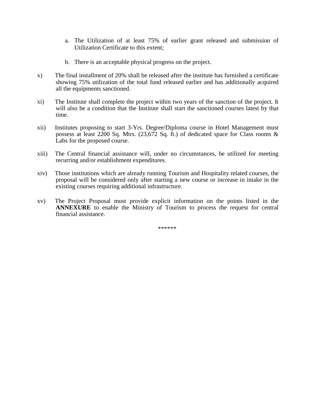- a. The Utilization of at least 75% of earlier grant released and submission of Utilization Certificate to this extent;
- b. There is an acceptable physical progress on the project.
- x) The final installment of 20% shall be released after the institute has furnished a certificate showing 75% utilization of the total fund released earlier and has additionally acquired all the equipments sanctioned.
- xi) The Institute shall complete the project within two years of the sanction of the project. It will also be a condition that the Institute shall start the sanctioned courses latest by that time.
- xii) Institutes proposing to start 3-Yrs. Degree/Diploma course in Hotel Management must possess at least 2200 Sq. Mtrs. (23,672 Sq. ft.) of dedicated space for Class rooms & Labs for the proposed course.
- xiii) The Central financial assistance will, under no circumstances, be utilized for meeting recurring and/or establishment expenditures.
- xiv) Those institutions which are already running Tourism and Hospitality related courses, the proposal will be considered only after starting a new course or increase in intake in the existing courses requiring additional infrastructure.
- xv) The Project Proposal must provide explicit information on the points listed in the **ANNEXURE** to enable the Ministry of Tourism to process the request for central financial assistance.

\*\*\*\*\*\*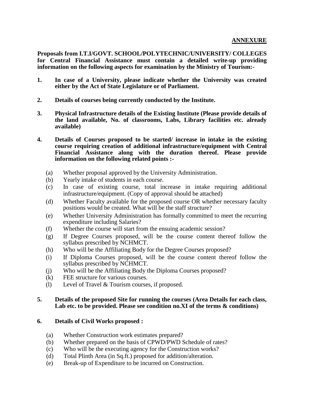**Proposals from I.T.I/GOVT. SCHOOL/POLYTECHNIC/UNIVERSITY/ COLLEGES for Central Financial Assistance must contain a detailed write-up providing information on the following aspects for examination by the Ministry of Tourism:-**

- **1. In case of a University, please indicate whether the University was created either by the Act of State Legislature or of Parliament.**
- **2. Details of courses being currently conducted by the Institute.**
- **3. Physical Infrastructure details of the Existing Institute (Please provide details of the land available, No. of classrooms, Labs, Library facilities etc. already available)**
- **4. Details of Courses proposed to be started/ increase in intake in the existing course requiring creation of additional infrastructure/equipment with Central Financial Assistance along with the duration thereof. Please provide information on the following related points :-**
	- (a) Whether proposal approved by the University Administration.
	- (b) Yearly intake of students in each course.
	- (c) In case of existing course, total increase in intake requiring additional infrastructure/equipment. (Copy of approval should be attached)
	- (d) Whether Faculty available for the proposed course OR whether necessary faculty positions would be created. What will be the staff structure?
	- (e) Whether University Administration has formally committed to meet the recurring expenditure including Salaries?
	- (f) Whether the course will start from the ensuing academic session?
	- (g) If Degree Courses proposed, will be the course content thereof follow the syllabus prescribed by NCHMCT.
	- (h) Who will be the Affiliating Body for the Degree Courses proposed?
	- (i) If Diploma Courses proposed, will be the course content thereof follow the syllabus prescribed by NCHMCT.
	- (j) Who will be the Affiliating Body the Diploma Courses proposed?
	- (k) FEE structure for various courses.
	- (l) Level of Travel & Tourism courses, if proposed.

#### **5. Details of the proposed Site for running the courses (Area Details for each class, Lab etc. to be provided. Please see condition no.XI of the terms & conditions)**

#### **6. Details of Civil Works proposed :**

- (a) Whether Construction work estimates prepared?
- (b) Whether prepared on the basis of CPWD/PWD Schedule of rates?
- (c) Who will be the executing agency for the Construction works?
- (d) Total Plinth Area (in Sq.ft.) proposed for addition/alteration.
- (e) Break-up of Expenditure to be incurred on Construction.